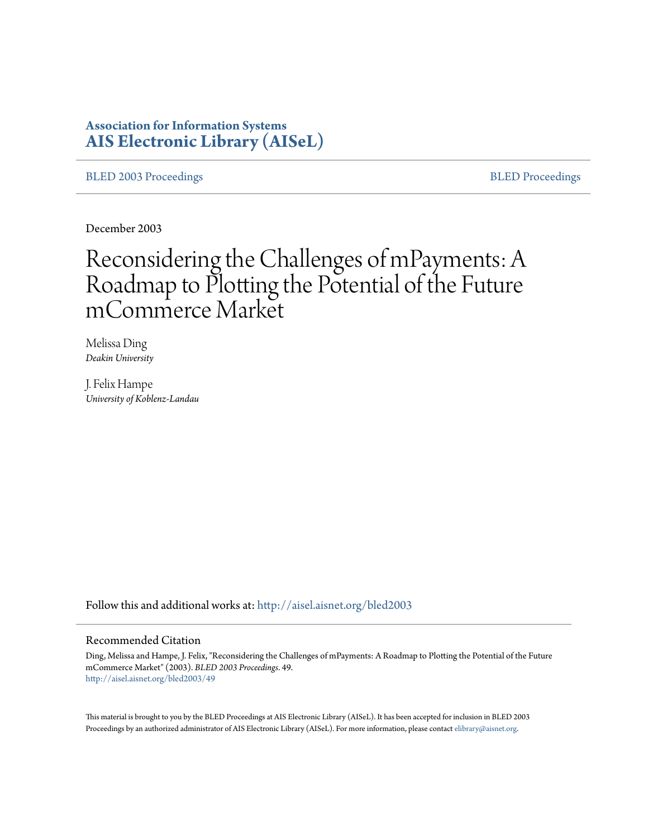# **Association for Information Systems [AIS Electronic Library \(AISeL\)](http://aisel.aisnet.org?utm_source=aisel.aisnet.org%2Fbled2003%2F49&utm_medium=PDF&utm_campaign=PDFCoverPages)**

[BLED 2003 Proceedings](http://aisel.aisnet.org/bled2003?utm_source=aisel.aisnet.org%2Fbled2003%2F49&utm_medium=PDF&utm_campaign=PDFCoverPages) and the [BLED Proceedings](http://aisel.aisnet.org/bled?utm_source=aisel.aisnet.org%2Fbled2003%2F49&utm_medium=PDF&utm_campaign=PDFCoverPages) BLED Proceedings

December 2003

# Reconsidering the Challenges of mPayments: A Roadmap to Plotting the Potential of the Future mCommerce Market

Melissa Ding *Deakin University*

J. Felix Hampe *University of Koblenz-Landau*

Follow this and additional works at: [http://aisel.aisnet.org/bled2003](http://aisel.aisnet.org/bled2003?utm_source=aisel.aisnet.org%2Fbled2003%2F49&utm_medium=PDF&utm_campaign=PDFCoverPages)

#### Recommended Citation

Ding, Melissa and Hampe, J. Felix, "Reconsidering the Challenges of mPayments: A Roadmap to Plotting the Potential of the Future mCommerce Market" (2003). *BLED 2003 Proceedings*. 49. [http://aisel.aisnet.org/bled2003/49](http://aisel.aisnet.org/bled2003/49?utm_source=aisel.aisnet.org%2Fbled2003%2F49&utm_medium=PDF&utm_campaign=PDFCoverPages)

This material is brought to you by the BLED Proceedings at AIS Electronic Library (AISeL). It has been accepted for inclusion in BLED 2003 Proceedings by an authorized administrator of AIS Electronic Library (AISeL). For more information, please contact [elibrary@aisnet.org](mailto:elibrary@aisnet.org%3E).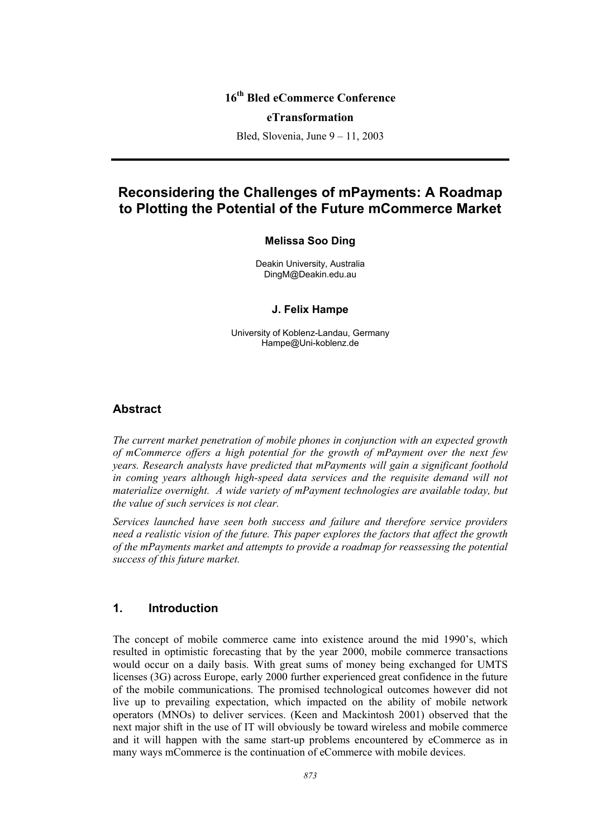# **16th Bled eCommerce Conference**

#### **eTransformation**

Bled, Slovenia, June 9 – 11, 2003

# **Reconsidering the Challenges of mPayments: A Roadmap to Plotting the Potential of the Future mCommerce Market**

#### **Melissa Soo Ding**

Deakin University, Australia DingM@Deakin.edu.au

#### **J. Felix Hampe**

University of Koblenz-Landau, Germany Hampe@Uni-koblenz.de

## **Abstract**

*The current market penetration of mobile phones in conjunction with an expected growth of mCommerce offers a high potential for the growth of mPayment over the next few years. Research analysts have predicted that mPayments will gain a significant foothold in coming years although high-speed data services and the requisite demand will not materialize overnight. A wide variety of mPayment technologies are available today, but the value of such services is not clear.* 

*Services launched have seen both success and failure and therefore service providers need a realistic vision of the future. This paper explores the factors that affect the growth of the mPayments market and attempts to provide a roadmap for reassessing the potential success of this future market.* 

# **1. Introduction**

The concept of mobile commerce came into existence around the mid 1990's, which resulted in optimistic forecasting that by the year 2000, mobile commerce transactions would occur on a daily basis. With great sums of money being exchanged for UMTS licenses (3G) across Europe, early 2000 further experienced great confidence in the future of the mobile communications. The promised technological outcomes however did not live up to prevailing expectation, which impacted on the ability of mobile network operators (MNOs) to deliver services. (Keen and Mackintosh 2001) observed that the next major shift in the use of IT will obviously be toward wireless and mobile commerce and it will happen with the same start-up problems encountered by eCommerce as in many ways mCommerce is the continuation of eCommerce with mobile devices.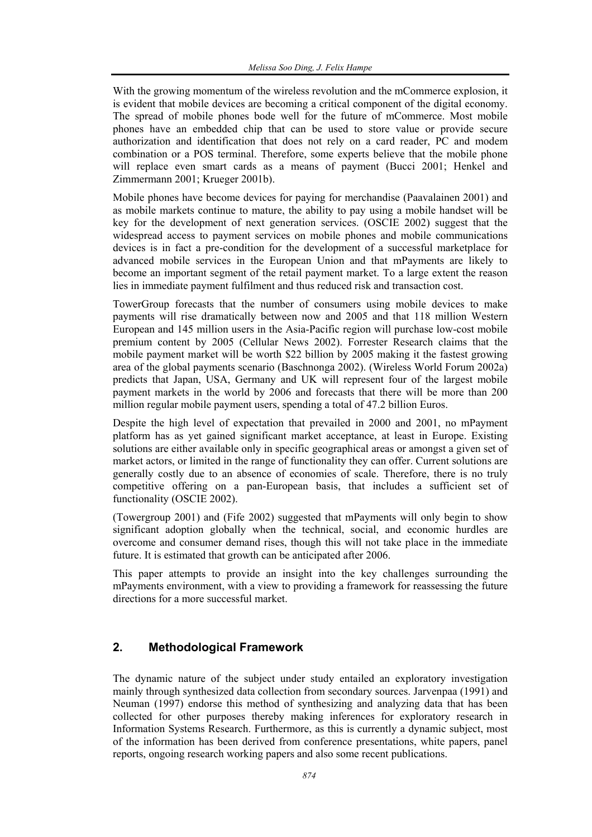With the growing momentum of the wireless revolution and the mCommerce explosion, it is evident that mobile devices are becoming a critical component of the digital economy. The spread of mobile phones bode well for the future of mCommerce. Most mobile phones have an embedded chip that can be used to store value or provide secure authorization and identification that does not rely on a card reader, PC and modem combination or a POS terminal. Therefore, some experts believe that the mobile phone will replace even smart cards as a means of payment (Bucci 2001; Henkel and Zimmermann 2001; Krueger 2001b).

Mobile phones have become devices for paying for merchandise (Paavalainen 2001) and as mobile markets continue to mature, the ability to pay using a mobile handset will be key for the development of next generation services. (OSCIE 2002) suggest that the widespread access to payment services on mobile phones and mobile communications devices is in fact a pre-condition for the development of a successful marketplace for advanced mobile services in the European Union and that mPayments are likely to become an important segment of the retail payment market. To a large extent the reason lies in immediate payment fulfilment and thus reduced risk and transaction cost.

TowerGroup forecasts that the number of consumers using mobile devices to make payments will rise dramatically between now and 2005 and that 118 million Western European and 145 million users in the Asia-Pacific region will purchase low-cost mobile premium content by 2005 (Cellular News 2002). Forrester Research claims that the mobile payment market will be worth \$22 billion by 2005 making it the fastest growing area of the global payments scenario (Baschnonga 2002). (Wireless World Forum 2002a) predicts that Japan, USA, Germany and UK will represent four of the largest mobile payment markets in the world by 2006 and forecasts that there will be more than 200 million regular mobile payment users, spending a total of 47.2 billion Euros.

Despite the high level of expectation that prevailed in 2000 and 2001, no mPayment platform has as yet gained significant market acceptance, at least in Europe. Existing solutions are either available only in specific geographical areas or amongst a given set of market actors, or limited in the range of functionality they can offer. Current solutions are generally costly due to an absence of economies of scale. Therefore, there is no truly competitive offering on a pan-European basis, that includes a sufficient set of functionality (OSCIE 2002).

(Towergroup 2001) and (Fife 2002) suggested that mPayments will only begin to show significant adoption globally when the technical, social, and economic hurdles are overcome and consumer demand rises, though this will not take place in the immediate future. It is estimated that growth can be anticipated after 2006.

This paper attempts to provide an insight into the key challenges surrounding the mPayments environment, with a view to providing a framework for reassessing the future directions for a more successful market.

# **2. Methodological Framework**

The dynamic nature of the subject under study entailed an exploratory investigation mainly through synthesized data collection from secondary sources. Jarvenpaa (1991) and Neuman (1997) endorse this method of synthesizing and analyzing data that has been collected for other purposes thereby making inferences for exploratory research in Information Systems Research. Furthermore, as this is currently a dynamic subject, most of the information has been derived from conference presentations, white papers, panel reports, ongoing research working papers and also some recent publications.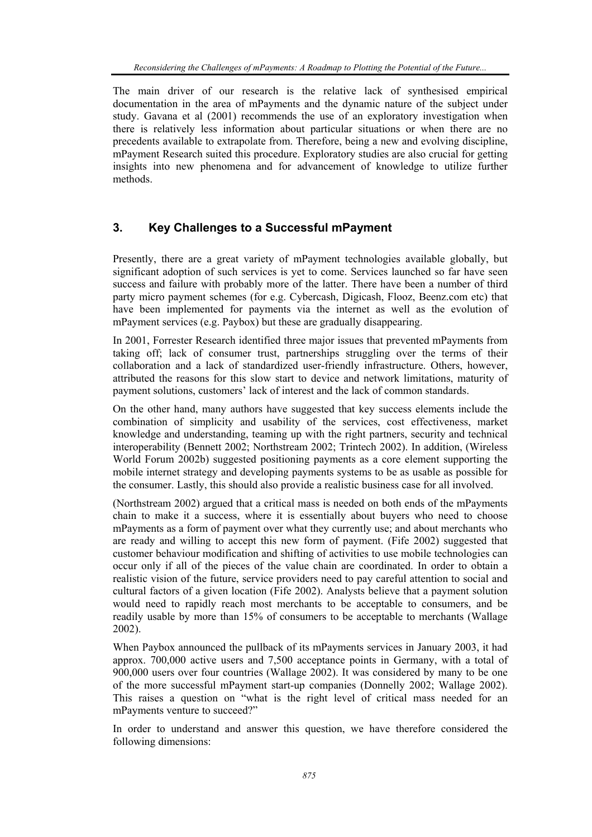The main driver of our research is the relative lack of synthesised empirical documentation in the area of mPayments and the dynamic nature of the subject under study. Gavana et al (2001) recommends the use of an exploratory investigation when there is relatively less information about particular situations or when there are no precedents available to extrapolate from. Therefore, being a new and evolving discipline, mPayment Research suited this procedure. Exploratory studies are also crucial for getting insights into new phenomena and for advancement of knowledge to utilize further methods.

## **3. Key Challenges to a Successful mPayment**

Presently, there are a great variety of mPayment technologies available globally, but significant adoption of such services is yet to come. Services launched so far have seen success and failure with probably more of the latter. There have been a number of third party micro payment schemes (for e.g. Cybercash, Digicash, Flooz, Beenz.com etc) that have been implemented for payments via the internet as well as the evolution of mPayment services (e.g. Paybox) but these are gradually disappearing.

In 2001, Forrester Research identified three major issues that prevented mPayments from taking off; lack of consumer trust, partnerships struggling over the terms of their collaboration and a lack of standardized user-friendly infrastructure. Others, however, attributed the reasons for this slow start to device and network limitations, maturity of payment solutions, customers' lack of interest and the lack of common standards.

On the other hand, many authors have suggested that key success elements include the combination of simplicity and usability of the services, cost effectiveness, market knowledge and understanding, teaming up with the right partners, security and technical interoperability (Bennett 2002; Northstream 2002; Trintech 2002). In addition, (Wireless World Forum 2002b) suggested positioning payments as a core element supporting the mobile internet strategy and developing payments systems to be as usable as possible for the consumer. Lastly, this should also provide a realistic business case for all involved.

(Northstream 2002) argued that a critical mass is needed on both ends of the mPayments chain to make it a success, where it is essentially about buyers who need to choose mPayments as a form of payment over what they currently use; and about merchants who are ready and willing to accept this new form of payment. (Fife 2002) suggested that customer behaviour modification and shifting of activities to use mobile technologies can occur only if all of the pieces of the value chain are coordinated. In order to obtain a realistic vision of the future, service providers need to pay careful attention to social and cultural factors of a given location (Fife 2002). Analysts believe that a payment solution would need to rapidly reach most merchants to be acceptable to consumers, and be readily usable by more than 15% of consumers to be acceptable to merchants (Wallage 2002).

When Paybox announced the pullback of its mPayments services in January 2003, it had approx. 700,000 active users and 7,500 acceptance points in Germany, with a total of 900,000 users over four countries (Wallage 2002). It was considered by many to be one of the more successful mPayment start-up companies (Donnelly 2002; Wallage 2002). This raises a question on "what is the right level of critical mass needed for an mPayments venture to succeed?"

In order to understand and answer this question, we have therefore considered the following dimensions: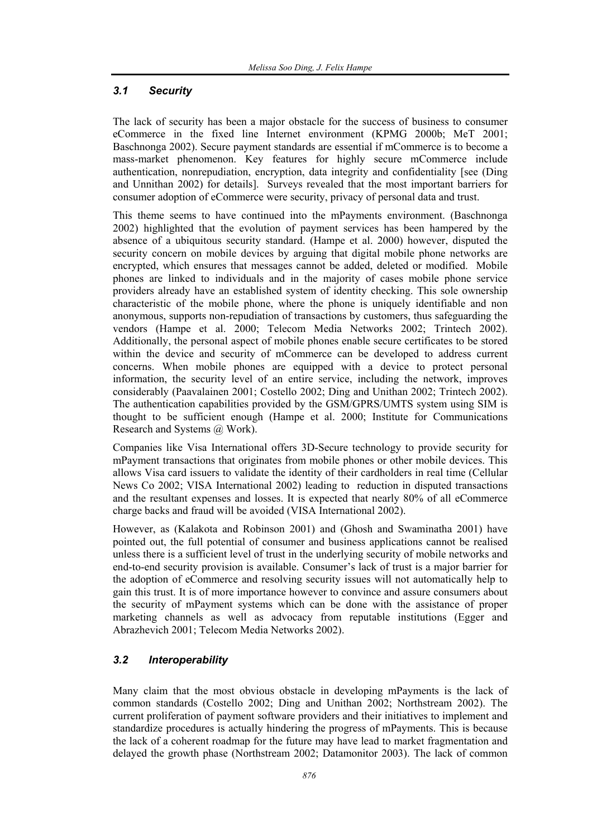## *3.1 Security*

The lack of security has been a major obstacle for the success of business to consumer eCommerce in the fixed line Internet environment (KPMG 2000b; MeT 2001; Baschnonga 2002). Secure payment standards are essential if mCommerce is to become a mass-market phenomenon. Key features for highly secure mCommerce include authentication, nonrepudiation, encryption, data integrity and confidentiality [see (Ding and Unnithan 2002) for details]. Surveys revealed that the most important barriers for consumer adoption of eCommerce were security, privacy of personal data and trust.

This theme seems to have continued into the mPayments environment. (Baschnonga 2002) highlighted that the evolution of payment services has been hampered by the absence of a ubiquitous security standard. (Hampe et al. 2000) however, disputed the security concern on mobile devices by arguing that digital mobile phone networks are encrypted, which ensures that messages cannot be added, deleted or modified. Mobile phones are linked to individuals and in the majority of cases mobile phone service providers already have an established system of identity checking. This sole ownership characteristic of the mobile phone, where the phone is uniquely identifiable and non anonymous, supports non-repudiation of transactions by customers, thus safeguarding the vendors (Hampe et al. 2000; Telecom Media Networks 2002; Trintech 2002). Additionally, the personal aspect of mobile phones enable secure certificates to be stored within the device and security of mCommerce can be developed to address current concerns. When mobile phones are equipped with a device to protect personal information, the security level of an entire service, including the network, improves considerably (Paavalainen 2001; Costello 2002; Ding and Unithan 2002; Trintech 2002). The authentication capabilities provided by the GSM/GPRS/UMTS system using SIM is thought to be sufficient enough (Hampe et al. 2000; Institute for Communications Research and Systems @ Work).

Companies like Visa International offers 3D-Secure technology to provide security for mPayment transactions that originates from mobile phones or other mobile devices. This allows Visa card issuers to validate the identity of their cardholders in real time (Cellular News Co 2002; VISA International 2002) leading to reduction in disputed transactions and the resultant expenses and losses. It is expected that nearly 80% of all eCommerce charge backs and fraud will be avoided (VISA International 2002).

However, as (Kalakota and Robinson 2001) and (Ghosh and Swaminatha 2001) have pointed out, the full potential of consumer and business applications cannot be realised unless there is a sufficient level of trust in the underlying security of mobile networks and end-to-end security provision is available. Consumer's lack of trust is a major barrier for the adoption of eCommerce and resolving security issues will not automatically help to gain this trust. It is of more importance however to convince and assure consumers about the security of mPayment systems which can be done with the assistance of proper marketing channels as well as advocacy from reputable institutions (Egger and Abrazhevich 2001; Telecom Media Networks 2002).

## *3.2 Interoperability*

Many claim that the most obvious obstacle in developing mPayments is the lack of common standards (Costello 2002; Ding and Unithan 2002; Northstream 2002). The current proliferation of payment software providers and their initiatives to implement and standardize procedures is actually hindering the progress of mPayments. This is because the lack of a coherent roadmap for the future may have lead to market fragmentation and delayed the growth phase (Northstream 2002; Datamonitor 2003). The lack of common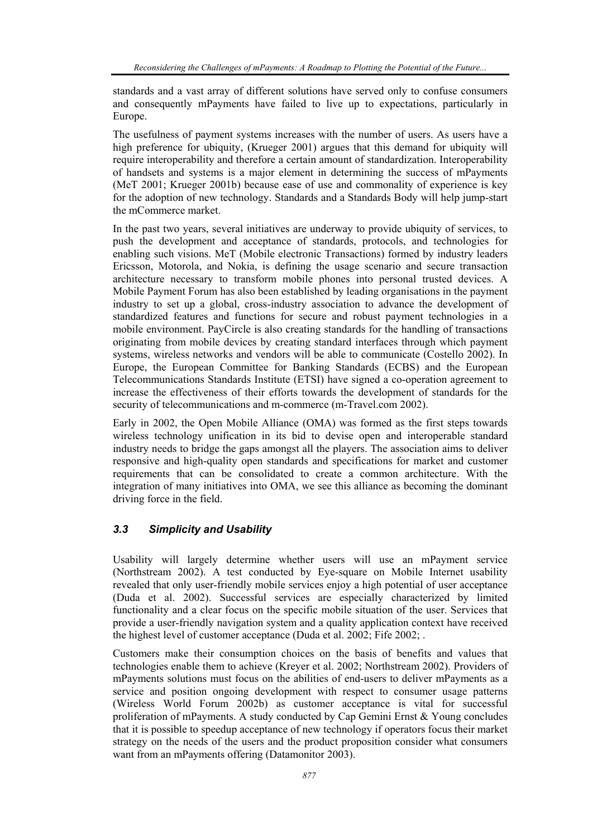standards and a vast array of different solutions have served only to confuse consumers and consequently mPayments have failed to live up to expectations, particularly in Europe.

The usefulness of payment systems increases with the number of users. As users have a high preference for ubiquity, (Krueger 2001) argues that this demand for ubiquity will require interoperability and therefore a certain amount of standardization. Interoperability of handsets and systems is a major element in determining the success of mPayments (MeT 2001; Krueger 2001b) because ease of use and commonality of experience is key for the adoption of new technology. Standards and a Standards Body will help jump-start the mCommerce market.

In the past two years, several initiatives are underway to provide ubiquity of services, to push the development and acceptance of standards, protocols, and technologies for enabling such visions. MeT (Mobile electronic Transactions) formed by industry leaders Ericsson, Motorola, and Nokia, is defining the usage scenario and secure transaction architecture necessary to transform mobile phones into personal trusted devices. A Mobile Payment Forum has also been established by leading organisations in the payment industry to set up a global, cross-industry association to advance the development of standardized features and functions for secure and robust payment technologies in a mobile environment. PayCircle is also creating standards for the handling of transactions originating from mobile devices by creating standard interfaces through which payment systems, wireless networks and vendors will be able to communicate (Costello 2002). In Europe, the European Committee for Banking Standards (ECBS) and the European Telecommunications Standards Institute (ETSI) have signed a co-operation agreement to increase the effectiveness of their efforts towards the development of standards for the security of telecommunications and m-commerce (m-Travel.com 2002).

Early in 2002, the Open Mobile Alliance (OMA) was formed as the first steps towards wireless technology unification in its bid to devise open and interoperable standard industry needs to bridge the gaps amongst all the players. The association aims to deliver responsive and high-quality open standards and specifications for market and customer requirements that can be consolidated to create a common architecture. With the integration of many initiatives into OMA, we see this alliance as becoming the dominant driving force in the field.

### *3.3 Simplicity and Usability*

Usability will largely determine whether users will use an mPayment service (Northstream 2002). A test conducted by Eye-square on Mobile Internet usability revealed that only user-friendly mobile services enjoy a high potential of user acceptance (Duda et al. 2002). Successful services are especially characterized by limited functionality and a clear focus on the specific mobile situation of the user. Services that provide a user-friendly navigation system and a quality application context have received the highest level of customer acceptance (Duda et al. 2002; Fife 2002; .

Customers make their consumption choices on the basis of benefits and values that technologies enable them to achieve (Kreyer et al. 2002; Northstream 2002). Providers of mPayments solutions must focus on the abilities of end-users to deliver mPayments as a service and position ongoing development with respect to consumer usage patterns (Wireless World Forum 2002b) as customer acceptance is vital for successful proliferation of mPayments. A study conducted by Cap Gemini Ernst & Young concludes that it is possible to speedup acceptance of new technology if operators focus their market strategy on the needs of the users and the product proposition consider what consumers want from an mPayments offering (Datamonitor 2003).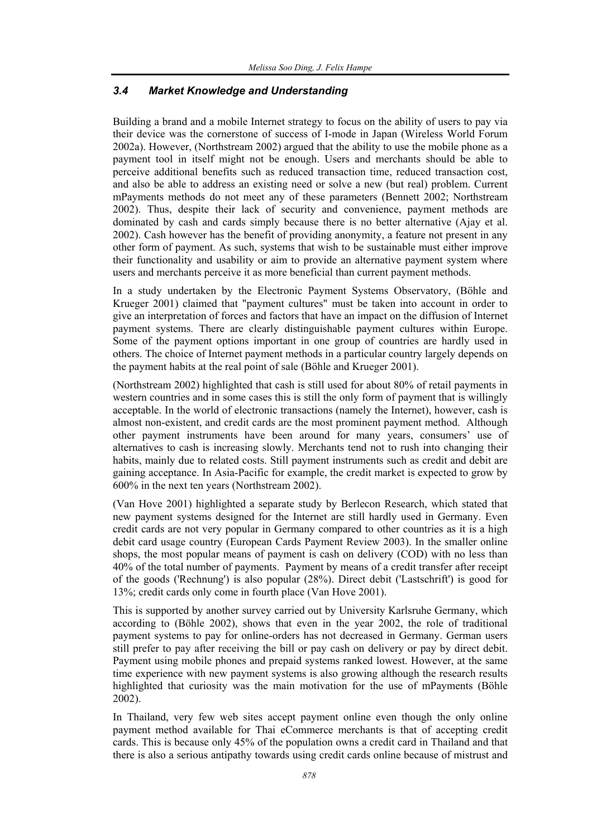#### *3.4 Market Knowledge and Understanding*

Building a brand and a mobile Internet strategy to focus on the ability of users to pay via their device was the cornerstone of success of I-mode in Japan (Wireless World Forum 2002a). However, (Northstream 2002) argued that the ability to use the mobile phone as a payment tool in itself might not be enough. Users and merchants should be able to perceive additional benefits such as reduced transaction time, reduced transaction cost, and also be able to address an existing need or solve a new (but real) problem. Current mPayments methods do not meet any of these parameters (Bennett 2002; Northstream 2002). Thus, despite their lack of security and convenience, payment methods are dominated by cash and cards simply because there is no better alternative (Ajay et al. 2002). Cash however has the benefit of providing anonymity, a feature not present in any other form of payment. As such, systems that wish to be sustainable must either improve their functionality and usability or aim to provide an alternative payment system where users and merchants perceive it as more beneficial than current payment methods.

In a study undertaken by the Electronic Payment Systems Observatory, (Böhle and Krueger 2001) claimed that "payment cultures" must be taken into account in order to give an interpretation of forces and factors that have an impact on the diffusion of Internet payment systems. There are clearly distinguishable payment cultures within Europe. Some of the payment options important in one group of countries are hardly used in others. The choice of Internet payment methods in a particular country largely depends on the payment habits at the real point of sale (Böhle and Krueger 2001).

(Northstream 2002) highlighted that cash is still used for about 80% of retail payments in western countries and in some cases this is still the only form of payment that is willingly acceptable. In the world of electronic transactions (namely the Internet), however, cash is almost non-existent, and credit cards are the most prominent payment method. Although other payment instruments have been around for many years, consumers' use of alternatives to cash is increasing slowly. Merchants tend not to rush into changing their habits, mainly due to related costs. Still payment instruments such as credit and debit are gaining acceptance. In Asia-Pacific for example, the credit market is expected to grow by 600% in the next ten years (Northstream 2002).

(Van Hove 2001) highlighted a separate study by Berlecon Research, which stated that new payment systems designed for the Internet are still hardly used in Germany. Even credit cards are not very popular in Germany compared to other countries as it is a high debit card usage country (European Cards Payment Review 2003). In the smaller online shops, the most popular means of payment is cash on delivery (COD) with no less than 40% of the total number of payments. Payment by means of a credit transfer after receipt of the goods ('Rechnung') is also popular (28%). Direct debit ('Lastschrift') is good for 13%; credit cards only come in fourth place (Van Hove 2001).

This is supported by another survey carried out by University Karlsruhe Germany, which according to (Böhle 2002), shows that even in the year 2002, the role of traditional payment systems to pay for online-orders has not decreased in Germany. German users still prefer to pay after receiving the bill or pay cash on delivery or pay by direct debit. Payment using mobile phones and prepaid systems ranked lowest. However, at the same time experience with new payment systems is also growing although the research results highlighted that curiosity was the main motivation for the use of mPayments (Böhle 2002).

In Thailand, very few web sites accept payment online even though the only online payment method available for Thai eCommerce merchants is that of accepting credit cards. This is because only 45% of the population owns a credit card in Thailand and that there is also a serious antipathy towards using credit cards online because of mistrust and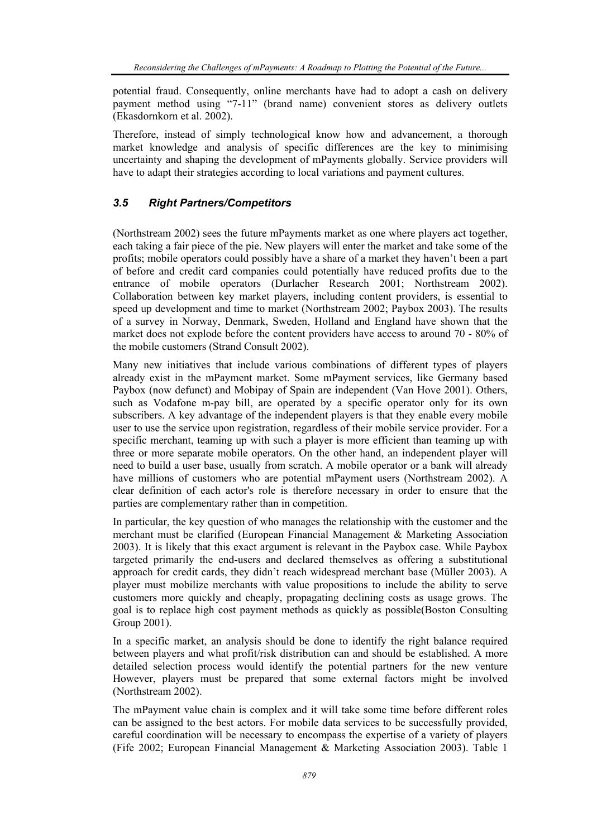potential fraud. Consequently, online merchants have had to adopt a cash on delivery payment method using "7-11" (brand name) convenient stores as delivery outlets (Ekasdornkorn et al. 2002).

Therefore, instead of simply technological know how and advancement, a thorough market knowledge and analysis of specific differences are the key to minimising uncertainty and shaping the development of mPayments globally. Service providers will have to adapt their strategies according to local variations and payment cultures.

## *3.5 Right Partners/Competitors*

(Northstream 2002) sees the future mPayments market as one where players act together, each taking a fair piece of the pie. New players will enter the market and take some of the profits; mobile operators could possibly have a share of a market they haven't been a part of before and credit card companies could potentially have reduced profits due to the entrance of mobile operators (Durlacher Research 2001; Northstream 2002). Collaboration between key market players, including content providers, is essential to speed up development and time to market (Northstream 2002; Paybox 2003). The results of a survey in Norway, Denmark, Sweden, Holland and England have shown that the market does not explode before the content providers have access to around 70 - 80% of the mobile customers (Strand Consult 2002).

Many new initiatives that include various combinations of different types of players already exist in the mPayment market. Some mPayment services, like Germany based Paybox (now defunct) and Mobipay of Spain are independent (Van Hove 2001). Others, such as Vodafone m-pay bill, are operated by a specific operator only for its own subscribers. A key advantage of the independent players is that they enable every mobile user to use the service upon registration, regardless of their mobile service provider. For a specific merchant, teaming up with such a player is more efficient than teaming up with three or more separate mobile operators. On the other hand, an independent player will need to build a user base, usually from scratch. A mobile operator or a bank will already have millions of customers who are potential mPayment users (Northstream 2002). A clear definition of each actor's role is therefore necessary in order to ensure that the parties are complementary rather than in competition.

In particular, the key question of who manages the relationship with the customer and the merchant must be clarified (European Financial Management & Marketing Association 2003). It is likely that this exact argument is relevant in the Paybox case. While Paybox targeted primarily the end-users and declared themselves as offering a substitutional approach for credit cards, they didn't reach widespread merchant base (Müller 2003). A player must mobilize merchants with value propositions to include the ability to serve customers more quickly and cheaply, propagating declining costs as usage grows. The goal is to replace high cost payment methods as quickly as possible(Boston Consulting Group 2001).

In a specific market, an analysis should be done to identify the right balance required between players and what profit/risk distribution can and should be established. A more detailed selection process would identify the potential partners for the new venture However, players must be prepared that some external factors might be involved (Northstream 2002).

The mPayment value chain is complex and it will take some time before different roles can be assigned to the best actors. For mobile data services to be successfully provided, careful coordination will be necessary to encompass the expertise of a variety of players (Fife 2002; European Financial Management & Marketing Association 2003). Table 1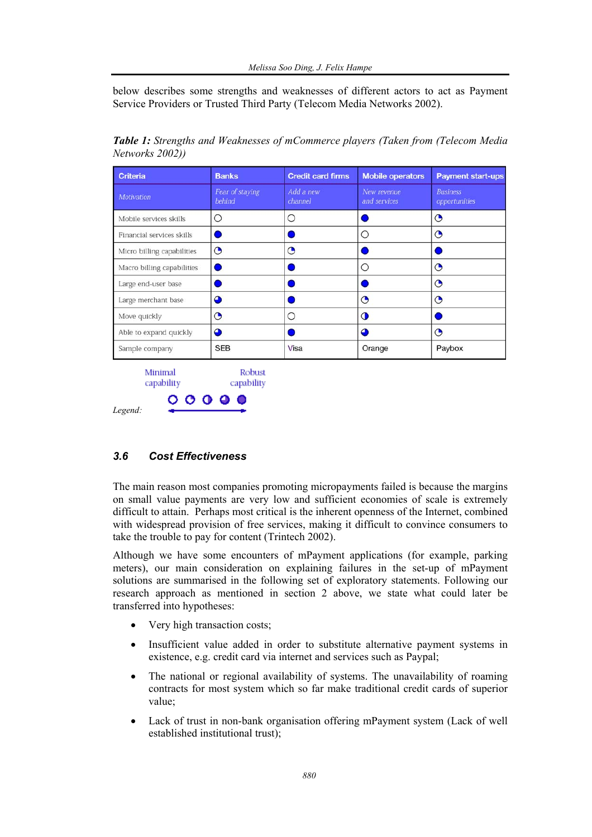below describes some strengths and weaknesses of different actors to act as Payment Service Providers or Trusted Third Party (Telecom Media Networks 2002).

| <b>Criteria</b>            | <b>Banks</b>              | <b>Credit card firms</b> | <b>Mobile operators</b>     | <b>Payment start-ups</b>         |
|----------------------------|---------------------------|--------------------------|-----------------------------|----------------------------------|
| <b>Motivation</b>          | Fear of staying<br>behind | Add a new<br>channel     | New revenue<br>and services | <b>Business</b><br>opportunities |
| Mobile services skills     | O                         | Ω                        |                             | $\odot$                          |
| Financial services skills  |                           |                          | ∩                           | $\bullet$                        |
| Micro billing capabilities | O                         | O                        |                             |                                  |
| Macro billing capabilities |                           |                          | ∩                           | $\mathbf{\Theta}$                |
| Large end-user base        |                           |                          |                             | $\odot$                          |
| Large merchant base        | ≏                         |                          | ◔                           | $\bullet$                        |
| Move quickly               | ◔                         | ∩                        | $\Omega$                    |                                  |
| Able to expand quickly     | ◕                         |                          | Δ                           | G                                |
| Sample company             | <b>SEB</b>                | Visa                     | Orange                      | Paybox                           |

*Table 1: Strengths and Weaknesses of mCommerce players (Taken from (Telecom Media Networks 2002))* 

#### capability capability Ο  $009$

*Legend:* 

### *3.6 Cost Effectiveness*

The main reason most companies promoting micropayments failed is because the margins on small value payments are very low and sufficient economies of scale is extremely difficult to attain. Perhaps most critical is the inherent openness of the Internet, combined with widespread provision of free services, making it difficult to convince consumers to take the trouble to pay for content (Trintech 2002).

Although we have some encounters of mPayment applications (for example, parking meters), our main consideration on explaining failures in the set-up of mPayment solutions are summarised in the following set of exploratory statements. Following our research approach as mentioned in section 2 above, we state what could later be transferred into hypotheses:

- Very high transaction costs;
- Insufficient value added in order to substitute alternative payment systems in existence, e.g. credit card via internet and services such as Paypal;
- The national or regional availability of systems. The unavailability of roaming contracts for most system which so far make traditional credit cards of superior value;
- Lack of trust in non-bank organisation offering mPayment system (Lack of well established institutional trust);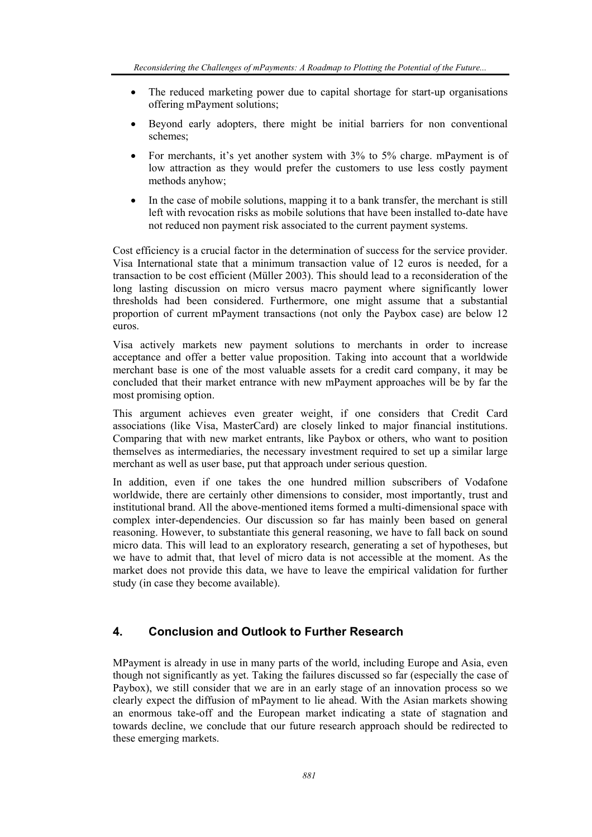- The reduced marketing power due to capital shortage for start-up organisations offering mPayment solutions;
- Beyond early adopters, there might be initial barriers for non conventional schemes;
- For merchants, it's yet another system with 3% to 5% charge. mPayment is of low attraction as they would prefer the customers to use less costly payment methods anyhow;
- In the case of mobile solutions, mapping it to a bank transfer, the merchant is still left with revocation risks as mobile solutions that have been installed to-date have not reduced non payment risk associated to the current payment systems.

Cost efficiency is a crucial factor in the determination of success for the service provider. Visa International state that a minimum transaction value of 12 euros is needed, for a transaction to be cost efficient (Müller 2003). This should lead to a reconsideration of the long lasting discussion on micro versus macro payment where significantly lower thresholds had been considered. Furthermore, one might assume that a substantial proportion of current mPayment transactions (not only the Paybox case) are below 12 euros.

Visa actively markets new payment solutions to merchants in order to increase acceptance and offer a better value proposition. Taking into account that a worldwide merchant base is one of the most valuable assets for a credit card company, it may be concluded that their market entrance with new mPayment approaches will be by far the most promising option.

This argument achieves even greater weight, if one considers that Credit Card associations (like Visa, MasterCard) are closely linked to major financial institutions. Comparing that with new market entrants, like Paybox or others, who want to position themselves as intermediaries, the necessary investment required to set up a similar large merchant as well as user base, put that approach under serious question.

In addition, even if one takes the one hundred million subscribers of Vodafone worldwide, there are certainly other dimensions to consider, most importantly, trust and institutional brand. All the above-mentioned items formed a multi-dimensional space with complex inter-dependencies. Our discussion so far has mainly been based on general reasoning. However, to substantiate this general reasoning, we have to fall back on sound micro data. This will lead to an exploratory research, generating a set of hypotheses, but we have to admit that, that level of micro data is not accessible at the moment. As the market does not provide this data, we have to leave the empirical validation for further study (in case they become available).

### **4. Conclusion and Outlook to Further Research**

MPayment is already in use in many parts of the world, including Europe and Asia, even though not significantly as yet. Taking the failures discussed so far (especially the case of Paybox), we still consider that we are in an early stage of an innovation process so we clearly expect the diffusion of mPayment to lie ahead. With the Asian markets showing an enormous take-off and the European market indicating a state of stagnation and towards decline, we conclude that our future research approach should be redirected to these emerging markets.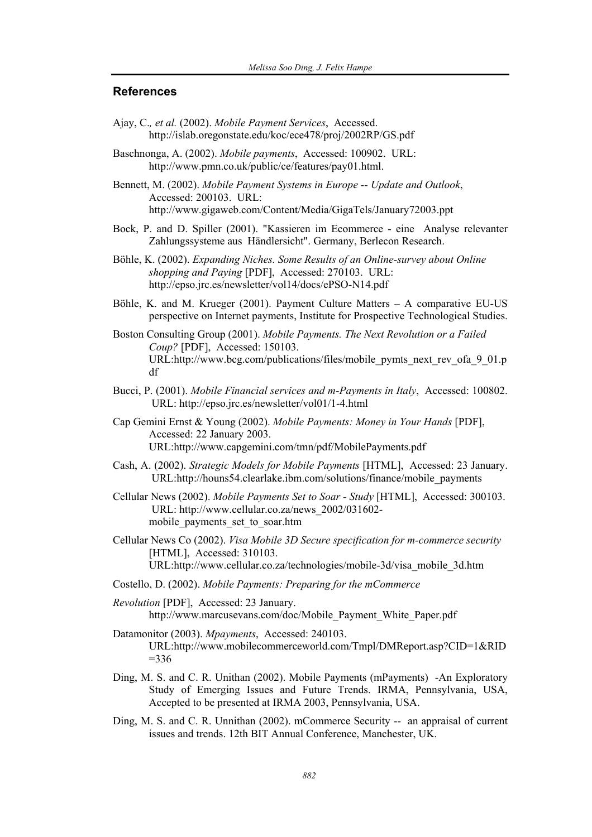#### **References**

- Ajay, C.*, et al.* (2002). *Mobile Payment Services*, Accessed. http://islab.oregonstate.edu/koc/ece478/proj/2002RP/GS.pdf
- Baschnonga, A. (2002). *Mobile payments*, Accessed: 100902. URL: http://www.pmn.co.uk/public/ce/features/pay01.html.

Bennett, M. (2002). *Mobile Payment Systems in Europe -- Update and Outlook*, Accessed: 200103. URL: http://www.gigaweb.com/Content/Media/GigaTels/January72003.ppt

- Bock, P. and D. Spiller (2001). "Kassieren im Ecommerce eine Analyse relevanter Zahlungssysteme aus Händlersicht". Germany, Berlecon Research.
- Böhle, K. (2002). *Expanding Niches. Some Results of an Online-survey about Online shopping and Paying* [PDF], Accessed: 270103. URL: http://epso.jrc.es/newsletter/vol14/docs/ePSO-N14.pdf
- Böhle, K. and M. Krueger (2001). Payment Culture Matters A comparative EU-US perspective on Internet payments, Institute for Prospective Technological Studies.
- Boston Consulting Group (2001). *Mobile Payments. The Next Revolution or a Failed Coup?* [PDF], Accessed: 150103. URL:http://www.bcg.com/publications/files/mobile\_pymts\_next\_rev\_ofa\_9\_01.p df
- Bucci, P. (2001). *Mobile Financial services and m-Payments in Italy*, Accessed: 100802. URL: http://epso.jrc.es/newsletter/vol01/1-4.html
- Cap Gemini Ernst & Young (2002). *Mobile Payments: Money in Your Hands* [PDF], Accessed: 22 January 2003. URL:http://www.capgemini.com/tmn/pdf/MobilePayments.pdf
- Cash, A. (2002). *Strategic Models for Mobile Payments* [HTML], Accessed: 23 January. URL:http://houns54.clearlake.ibm.com/solutions/finance/mobile\_payments
- Cellular News (2002). *Mobile Payments Set to Soar Study* [HTML], Accessed: 300103. URL: http://www.cellular.co.za/news\_2002/031602 mobile\_payments\_set\_to\_soar.htm
- Cellular News Co (2002). *Visa Mobile 3D Secure specification for m-commerce security* [HTML], Accessed: 310103. URL:http://www.cellular.co.za/technologies/mobile-3d/visa\_mobile\_3d.htm
- Costello, D. (2002). *Mobile Payments: Preparing for the mCommerce*
- *Revolution* [PDF], Accessed: 23 January. http://www.marcusevans.com/doc/Mobile\_Payment\_White\_Paper.pdf
- Datamonitor (2003). *Mpayments*, Accessed: 240103. URL:http://www.mobilecommerceworld.com/Tmpl/DMReport.asp?CID=1&RID  $=336$
- Ding, M. S. and C. R. Unithan (2002). Mobile Payments (mPayments) -An Exploratory Study of Emerging Issues and Future Trends. IRMA, Pennsylvania, USA, Accepted to be presented at IRMA 2003, Pennsylvania, USA.
- Ding, M. S. and C. R. Unnithan (2002). mCommerce Security -- an appraisal of current issues and trends. 12th BIT Annual Conference, Manchester, UK.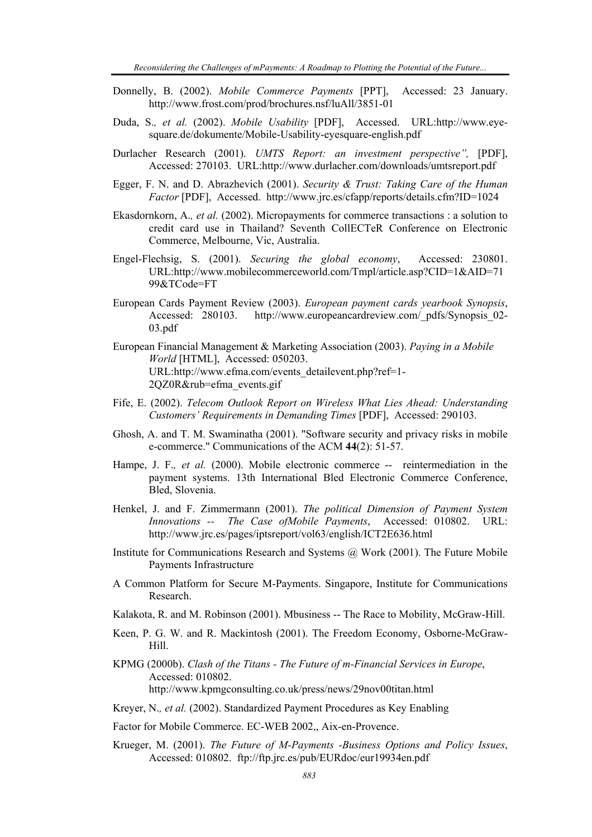- Donnelly, B. (2002). *Mobile Commerce Payments* [PPT], Accessed: 23 January. http://www.frost.com/prod/brochures.nsf/luAll/3851-01
- Duda, S.*, et al.* (2002). *Mobile Usability* [PDF], Accessed. URL:http://www.eyesquare.de/dokumente/Mobile-Usability-eyesquare-english.pdf
- Durlacher Research (2001). *UMTS Report: an investment perspective",* [PDF], Accessed: 270103. URL:http://www.durlacher.com/downloads/umtsreport.pdf
- Egger, F. N. and D. Abrazhevich (2001). *Security & Trust: Taking Care of the Human Factor* [PDF], Accessed. http://www.jrc.es/cfapp/reports/details.cfm?ID=1024
- Ekasdornkorn, A.*, et al.* (2002). Micropayments for commerce transactions : a solution to credit card use in Thailand? Seventh CollECTeR Conference on Electronic Commerce, Melbourne, Vic, Australia.
- Engel-Flechsig, S. (2001). *Securing the global economy*, Accessed: 230801. URL:http://www.mobilecommerceworld.com/Tmpl/article.asp?CID=1&AID=71 99&TCode=FT
- European Cards Payment Review (2003). *European payment cards yearbook Synopsis*, Accessed: 280103. http://www.europeancardreview.com/\_pdfs/Synopsis\_02- 03.pdf
- European Financial Management & Marketing Association (2003). *Paying in a Mobile World* [HTML], Accessed: 050203. URL:http://www.efma.com/events\_detailevent.php?ref=1- 2QZ0R&rub=efma\_events.gif
- Fife, E. (2002). *Telecom Outlook Report on Wireless What Lies Ahead: Understanding Customers' Requirements in Demanding Times* [PDF], Accessed: 290103.
- Ghosh, A. and T. M. Swaminatha (2001). "Software security and privacy risks in mobile e-commerce." Communications of the ACM **44**(2): 51-57.
- Hampe, J. F.*, et al.* (2000). Mobile electronic commerce -- reintermediation in the payment systems. 13th International Bled Electronic Commerce Conference, Bled, Slovenia.
- Henkel, J. and F. Zimmermann (2001). *The political Dimension of Payment System Innovations -- The Case ofMobile Payments*, Accessed: 010802. URL: http://www.jrc.es/pages/iptsreport/vol63/english/ICT2E636.html
- Institute for Communications Research and Systems @ Work (2001). The Future Mobile Payments Infrastructure
- A Common Platform for Secure M-Payments. Singapore, Institute for Communications Research.
- Kalakota, R. and M. Robinson (2001). Mbusiness -- The Race to Mobility, McGraw-Hill.
- Keen, P. G. W. and R. Mackintosh (2001). The Freedom Economy, Osborne-McGraw-Hill.
- KPMG (2000b). *Clash of the Titans The Future of m-Financial Services in Europe*, Accessed: 010802. http://www.kpmgconsulting.co.uk/press/news/29nov00titan.html
- Kreyer, N.*, et al.* (2002). Standardized Payment Procedures as Key Enabling
- Factor for Mobile Commerce. EC-WEB 2002,, Aix-en-Provence.
- Krueger, M. (2001). *The Future of M-Payments -Business Options and Policy Issues*, Accessed: 010802. ftp://ftp.jrc.es/pub/EURdoc/eur19934en.pdf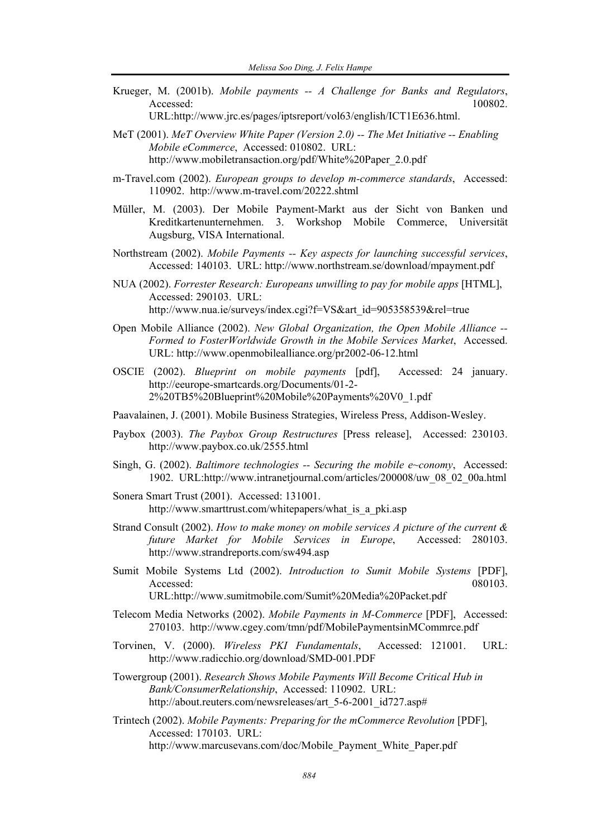Krueger, M. (2001b). *Mobile payments -- A Challenge for Banks and Regulators*, Accessed: 100802.

URL:http://www.jrc.es/pages/iptsreport/vol63/english/ICT1E636.html.

MeT (2001). *MeT Overview White Paper (Version 2.0) -- The Met Initiative -- Enabling Mobile eCommerce*, Accessed: 010802. URL: http://www.mobiletransaction.org/pdf/White%20Paper\_2.0.pdf

m-Travel.com (2002). *European groups to develop m-commerce standards*, Accessed: 110902. http://www.m-travel.com/20222.shtml

- Müller, M. (2003). Der Mobile Payment-Markt aus der Sicht von Banken und Kreditkartenunternehmen. 3. Workshop Mobile Commerce, Universität Augsburg, VISA International.
- Northstream (2002). *Mobile Payments -- Key aspects for launching successful services*, Accessed: 140103. URL: http://www.northstream.se/download/mpayment.pdf
- NUA (2002). *Forrester Research: Europeans unwilling to pay for mobile apps* [HTML], Accessed: 290103. URL: http://www.nua.ie/surveys/index.cgi?f=VS&art\_id=905358539&rel=true
- Open Mobile Alliance (2002). *New Global Organization, the Open Mobile Alliance -- Formed to FosterWorldwide Growth in the Mobile Services Market*, Accessed. URL: http://www.openmobilealliance.org/pr2002-06-12.html
- OSCIE (2002). *Blueprint on mobile payments* [pdf], Accessed: 24 january. http://eeurope-smartcards.org/Documents/01-2- 2%20TB5%20Blueprint%20Mobile%20Payments%20V0\_1.pdf
- Paavalainen, J. (2001). Mobile Business Strategies, Wireless Press, Addison-Wesley.
- Paybox (2003). *The Paybox Group Restructures* [Press release], Accessed: 230103. http://www.paybox.co.uk/2555.html
- Singh, G. (2002). *Baltimore technologies -- Securing the mobile e~conomy*, Accessed: 1902. URL:http://www.intranetjournal.com/articles/200008/uw\_08\_02\_00a.html
- Sonera Smart Trust (2001). Accessed: 131001. http://www.smarttrust.com/whitepapers/what is a pki.asp
- Strand Consult (2002). *How to make money on mobile services A picture of the current & future Market for Mobile Services in Europe*, Accessed: 280103. http://www.strandreports.com/sw494.asp
- Sumit Mobile Systems Ltd (2002). *Introduction to Sumit Mobile Systems* [PDF], Accessed: 080103. URL:http://www.sumitmobile.com/Sumit%20Media%20Packet.pdf

- Telecom Media Networks (2002). *Mobile Payments in M-Commerce* [PDF], Accessed: 270103. http://www.cgey.com/tmn/pdf/MobilePaymentsinMCommrce.pdf
- Torvinen, V. (2000). *Wireless PKI Fundamentals*, Accessed: 121001. URL: http://www.radicchio.org/download/SMD-001.PDF

Towergroup (2001). *Research Shows Mobile Payments Will Become Critical Hub in Bank/ConsumerRelationship*, Accessed: 110902. URL: http://about.reuters.com/newsreleases/art\_5-6-2001\_id727.asp#

Trintech (2002). *Mobile Payments: Preparing for the mCommerce Revolution* [PDF], Accessed: 170103. URL: http://www.marcusevans.com/doc/Mobile\_Payment\_White\_Paper.pdf